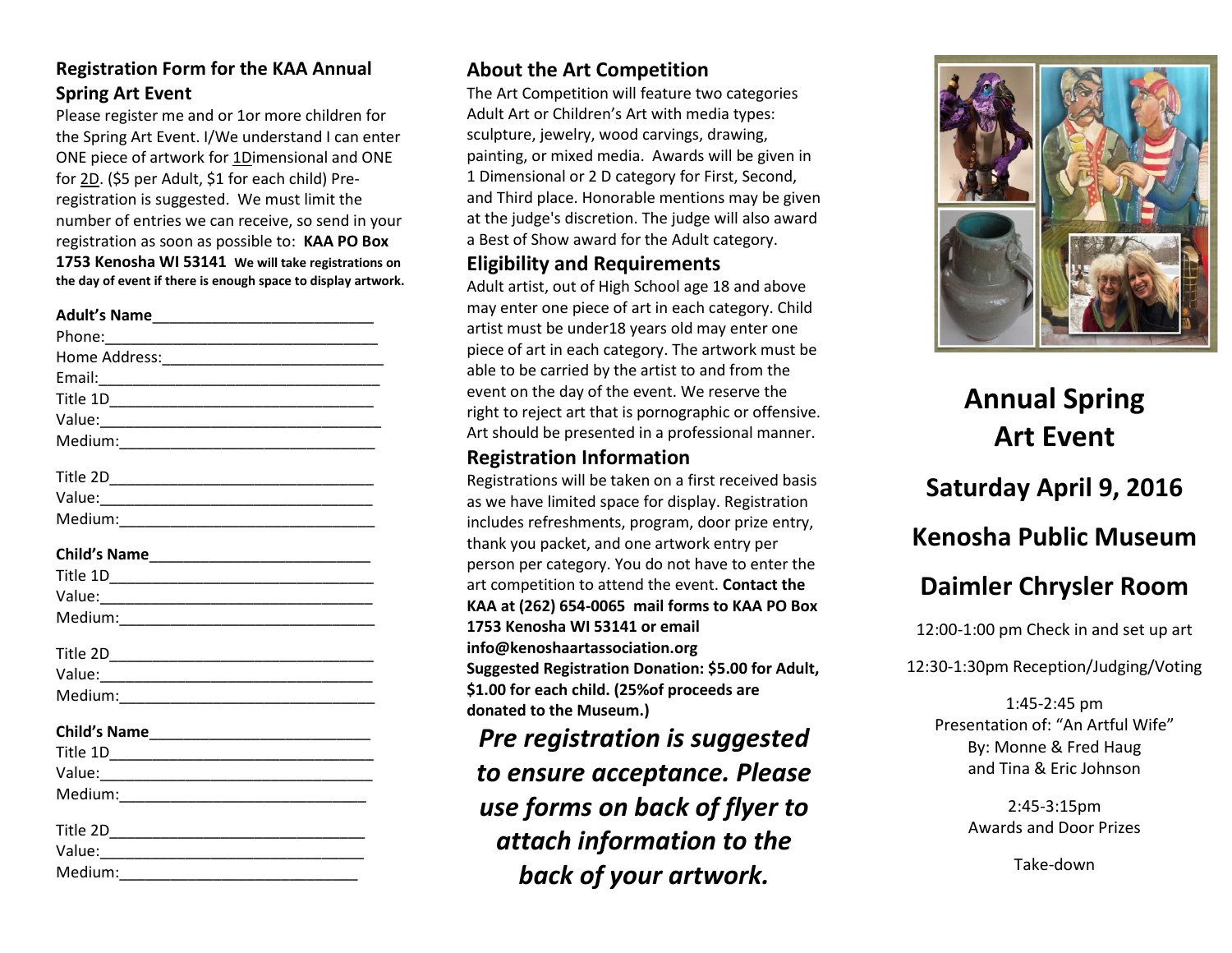### **Registration Form for the KAA Annual Spring Art Event**

Please register me and or 1or more children for the Spring Art Event. I/We understand I can enter ONE piece of artwork for 1Dimensional and ONE for 2D. (\$5 per Adult, \$1 for each child) Preregistration is suggested. We must limit the number of entries we can receive, so send in your registration as soon as possible to: **KAA PO Box 1753 Kenosha WI 53141 We will take registrations on the day of event if there is enough space to display artwork.**

Value:

 $Medium:$ 

### **About the Art Competition**

The Art Competition will feature two categories Adult Art or Children's Art with media types: sculpture, jewelry, wood carvings, drawing, painting, or mixed media. Awards will be given in 1 Dimensional or 2 D category for First, Second, and Third place. Honorable mentions may be given at the judge's discretion. The judge will also award a Best of Show award for the Adult category.

#### **Eligibility and Requirements**

Adult artist, out of High School age 18 and above may enter one piece of art in each category. Child artist must be under18 years old may enter one piece of art in each category. The artwork must be able to be carried by the artist to and from the event on the day of the event. We reserve the right to reject art that is pornographic or offensive. Art should be presented in a professional manner.

### **Registration Information**

Registrations will be taken on a first received basis as we have limited space for display. Registration includes refreshments, program, door prize entry, thank you packet, and one artwork entry per person per category. You do not have to enter the art competition to attend the event. **Contact the KAA at (262) 654-0065 mail forms to KAA PO Box 1753 Kenosha WI 53141 or email info@kenoshaartassociation.org Suggested Registration Donation: \$5.00 for Adult, \$1.00 for each child. (25%of proceeds are donated to the Museum.)**

*Pre registration is suggested to ensure acceptance. Please use forms on back of flyer to attach information to the back of your artwork.*



## **Annual Spring Art Event**

**Saturday April 9, 2016**

### **Kenosha Public Museum**

### **Daimler Chrysler Room**

12:00-1:00 pm Check in and set up art

12:30-1:30pm Reception/Judging/Voting

1:45-2:45 pm Presentation of: "An Artful Wife" By: Monne & Fred Haug and Tina & Eric Johnson

> 2:45-3:15pm Awards and Door Prizes

> > Take-down